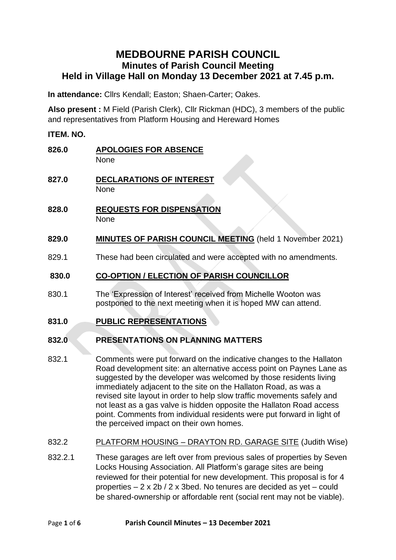# **MEDBOURNE PARISH COUNCIL Minutes of Parish Council Meeting Held in Village Hall on Monday 13 December 2021 at 7.45 p.m.**

**In attendance:** Cllrs Kendall; Easton; Shaen-Carter; Oakes.

**Also present :** M Field (Parish Clerk), Cllr Rickman (HDC), 3 members of the public and representatives from Platform Housing and Hereward Homes

### **ITEM. NO.**

| 826.0   | <b>APOLOGIES FOR ABSENCE</b><br>None                                                                                                                                                                                                                                                                                                                                                                                                                                                                                                                        |
|---------|-------------------------------------------------------------------------------------------------------------------------------------------------------------------------------------------------------------------------------------------------------------------------------------------------------------------------------------------------------------------------------------------------------------------------------------------------------------------------------------------------------------------------------------------------------------|
| 827.0   | <b>DECLARATIONS OF INTEREST</b><br><b>None</b>                                                                                                                                                                                                                                                                                                                                                                                                                                                                                                              |
| 828.0   | <b>REQUESTS FOR DISPENSATION</b><br><b>None</b>                                                                                                                                                                                                                                                                                                                                                                                                                                                                                                             |
| 829.0   | <b>MINUTES OF PARISH COUNCIL MEETING</b> (held 1 November 2021)                                                                                                                                                                                                                                                                                                                                                                                                                                                                                             |
| 829.1   | These had been circulated and were accepted with no amendments.                                                                                                                                                                                                                                                                                                                                                                                                                                                                                             |
| 830.0   | <b>CO-OPTION / ELECTION OF PARISH COUNCILLOR</b>                                                                                                                                                                                                                                                                                                                                                                                                                                                                                                            |
| 830.1   | The 'Expression of Interest' received from Michelle Wooton was<br>postponed to the next meeting when it is hoped MW can attend.                                                                                                                                                                                                                                                                                                                                                                                                                             |
| 831.0   | <b>PUBLIC REPRESENTATIONS</b>                                                                                                                                                                                                                                                                                                                                                                                                                                                                                                                               |
| 832.0   | <b>PRESENTATIONS ON PLANNING MATTERS</b>                                                                                                                                                                                                                                                                                                                                                                                                                                                                                                                    |
| 832.1   | Comments were put forward on the indicative changes to the Hallaton<br>Road development site: an alternative access point on Paynes Lane as<br>suggested by the developer was welcomed by those residents living<br>immediately adjacent to the site on the Hallaton Road, as was a<br>revised site layout in order to help slow traffic movements safely and<br>not least as a gas valve is hidden opposite the Hallaton Road access<br>point. Comments from individual residents were put forward in light of<br>the perceived impact on their own homes. |
| 832.2   | PLATFORM HOUSING - DRAYTON RD. GARAGE SITE (Judith Wise)                                                                                                                                                                                                                                                                                                                                                                                                                                                                                                    |
| 832.2.1 | These garages are left over from previous sales of properties by Seven<br>Locks Housing Association. All Platform's garage sites are being<br>reviewed for their potential for new development. This proposal is for 4<br>properties - 2 x 2b / 2 x 3bed. No tenures are decided as yet - could                                                                                                                                                                                                                                                             |

be shared-ownership or affordable rent (social rent may not be viable).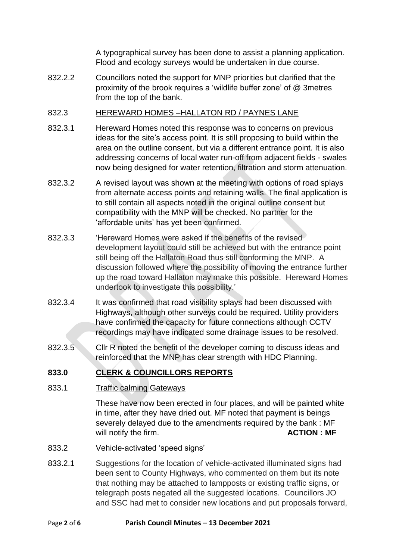A typographical survey has been done to assist a planning application. Flood and ecology surveys would be undertaken in due course.

832.2.2 Councillors noted the support for MNP priorities but clarified that the proximity of the brook requires a 'wildlife buffer zone' of @ 3metres from the top of the bank.

## 832.3 HEREWARD HOMES –HALLATON RD / PAYNES LANE

- 832.3.1 Hereward Homes noted this response was to concerns on previous ideas for the site's access point. It is still proposing to build within the area on the outline consent, but via a different entrance point. It is also addressing concerns of local water run-off from adjacent fields - swales now being designed for water retention, filtration and storm attenuation.
- 832.3.2 A revised layout was shown at the meeting with options of road splays from alternate access points and retaining walls. The final application is to still contain all aspects noted in the original outline consent but compatibility with the MNP will be checked. No partner for the 'affordable units' has yet been confirmed.
- 832.3.3 Hereward Homes were asked if the benefits of the revised development layout could still be achieved but with the entrance point still being off the Hallaton Road thus still conforming the MNP. A discussion followed where the possibility of moving the entrance further up the road toward Hallaton may make this possible. Hereward Homes undertook to investigate this possibility.'
- 832.3.4 It was confirmed that road visibility splays had been discussed with Highways, although other surveys could be required. Utility providers have confirmed the capacity for future connections although CCTV recordings may have indicated some drainage issues to be resolved.
- 832.3.5 Cllr R noted the benefit of the developer coming to discuss ideas and reinforced that the MNP has clear strength with HDC Planning.

# **833.0 CLERK & COUNCILLORS REPORTS**

### 833.1 Traffic calming Gateways

These have now been erected in four places, and will be painted white in time, after they have dried out. MF noted that payment is beings severely delayed due to the amendments required by the bank : MF will notify the firm. **ACTION : MF** 

- 833.2 Vehicle-activated 'speed signs'
- 833.2.1 Suggestions for the location of vehicle-activated illuminated signs had been sent to County Highways, who commented on them but its note that nothing may be attached to lampposts or existing traffic signs, or telegraph posts negated all the suggested locations. Councillors JO and SSC had met to consider new locations and put proposals forward,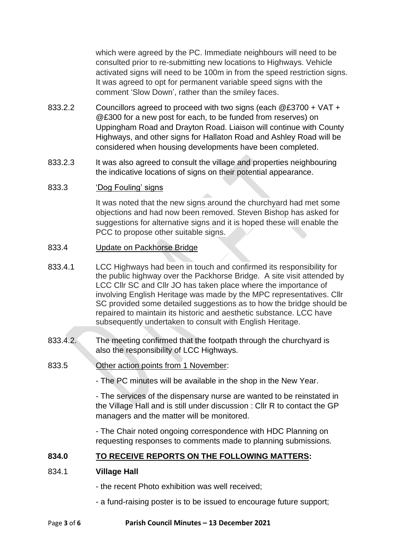which were agreed by the PC. Immediate neighbours will need to be consulted prior to re-submitting new locations to Highways. Vehicle activated signs will need to be 100m in from the speed restriction signs. It was agreed to opt for permanent variable speed signs with the comment 'Slow Down', rather than the smiley faces.

- 833.2.2 Councillors agreed to proceed with two signs (each @£3700 + VAT + @£300 for a new post for each, to be funded from reserves) on Uppingham Road and Drayton Road. Liaison will continue with County Highways, and other signs for Hallaton Road and Ashley Road will be considered when housing developments have been completed.
- 833.2.3 It was also agreed to consult the village and properties neighbouring the indicative locations of signs on their potential appearance.

### 833.3 'Dog Fouling' signs

It was noted that the new signs around the churchyard had met some objections and had now been removed. Steven Bishop has asked for suggestions for alternative signs and it is hoped these will enable the PCC to propose other suitable signs.

#### 833.4 Update on Packhorse Bridge

- 833.4.1 LCC Highways had been in touch and confirmed its responsibility for the public highway over the Packhorse Bridge. A site visit attended by LCC Cllr SC and Cllr JO has taken place where the importance of involving English Heritage was made by the MPC representatives. Cllr SC provided some detailed suggestions as to how the bridge should be repaired to maintain its historic and aesthetic substance. LCC have subsequently undertaken to consult with English Heritage.
- 833.4.2. The meeting confirmed that the footpath through the churchyard is also the responsibility of LCC Highways.
- 833.5 Other action points from 1 November:

- The PC minutes will be available in the shop in the New Year.

- The services of the dispensary nurse are wanted to be reinstated in the Village Hall and is still under discussion : Cllr R to contact the GP managers and the matter will be monitored.

- The Chair noted ongoing correspondence with HDC Planning on requesting responses to comments made to planning submissions.

### **834.0 TO RECEIVE REPORTS ON THE FOLLOWING MATTERS:**

#### 834.1 **Village Hall**

- the recent Photo exhibition was well received;
- a fund-raising poster is to be issued to encourage future support;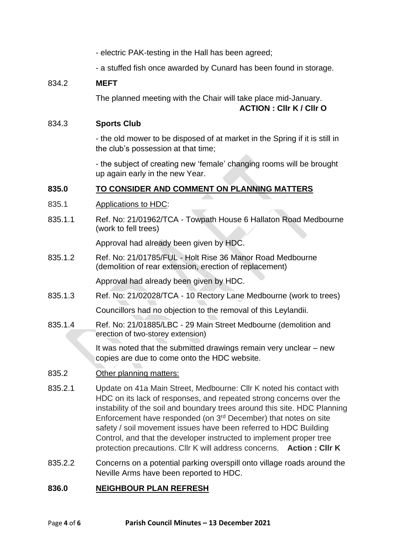- electric PAK-testing in the Hall has been agreed;
- a stuffed fish once awarded by Cunard has been found in storage.

### 834.2 **MEFT**

The planned meeting with the Chair will take place mid-January. **ACTION : Cllr K / Cllr O**

#### 834.3 **Sports Club**

- the old mower to be disposed of at market in the Spring if it is still in the club's possession at that time;

- the subject of creating new 'female' changing rooms will be brought up again early in the new Year.

### **835.0 TO CONSIDER AND COMMENT ON PLANNING MATTERS**

- 835.1 Applications to HDC:
- 835.1.1 Ref. No: 21/01962/TCA Towpath House 6 Hallaton Road Medbourne (work to fell trees)

Approval had already been given by HDC.

835.1.2 Ref. No: 21/01785/FUL - Holt Rise 36 Manor Road Medbourne (demolition of rear extension, erection of replacement)

Approval had already been given by HDC.

835.1.3 Ref. No: 21/02028/TCA - 10 Rectory Lane Medbourne (work to trees)

Councillors had no objection to the removal of this Leylandii.

835.1.4 Ref. No: 21/01885/LBC - 29 Main Street Medbourne (demolition and erection of two-storey extension)

> It was noted that the submitted drawings remain very unclear – new copies are due to come onto the HDC website.

- 835.2 Other planning matters:
- 835.2.1 Update on 41a Main Street, Medbourne: Cllr K noted his contact with HDC on its lack of responses, and repeated strong concerns over the instability of the soil and boundary trees around this site. HDC Planning Enforcement have responded (on 3rd December) that notes on site safety / soil movement issues have been referred to HDC Building Control, and that the developer instructed to implement proper tree protection precautions. Cllr K will address concerns. **Action : Cllr K**
- 835.2.2 Concerns on a potential parking overspill onto village roads around the Neville Arms have been reported to HDC.

### **836.0 NEIGHBOUR PLAN REFRESH**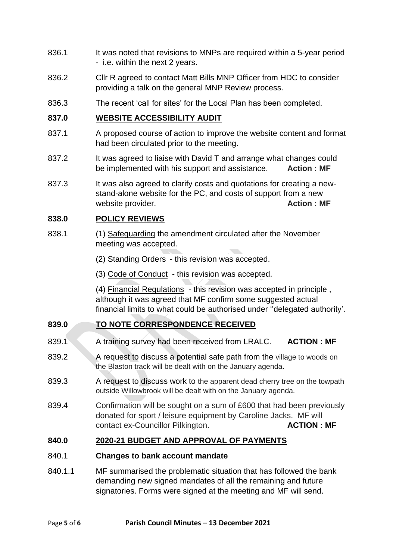- 836.1 It was noted that revisions to MNPs are required within a 5-year period - i.e. within the next 2 years.
- 836.2 Cllr R agreed to contact Matt Bills MNP Officer from HDC to consider providing a talk on the general MNP Review process.
- 836.3 The recent 'call for sites' for the Local Plan has been completed.

### **837.0 WEBSITE ACCESSIBILITY AUDIT**

- 837.1 A proposed course of action to improve the website content and format had been circulated prior to the meeting.
- 837.2 It was agreed to liaise with David T and arrange what changes could be implemented with his support and assistance. **Action : MF**
- 837.3 It was also agreed to clarify costs and quotations for creating a newstand-alone website for the PC, and costs of support from a new website provider. **Action : MF Action : MF**

### **838.0 POLICY REVIEWS**

- 838.1 (1) Safeguarding the amendment circulated after the November meeting was accepted.
	- (2) Standing Orders this revision was accepted.
	- (3) Code of Conduct this revision was accepted.

(4) Financial Regulations - this revision was accepted in principle , although it was agreed that MF confirm some suggested actual financial limits to what could be authorised under ''delegated authority'.

# **839.0 TO NOTE CORRESPONDENCE RECEIVED**

- 839.1 A training survey had been received from LRALC. **ACTION : MF**
- 839.2 A request to discuss a potential safe path from the village to woods on the Blaston track will be dealt with on the January agenda.
- 839.3 A request to discuss work to the apparent dead cherry tree on the towpath outside Willowbrook will be dealt with on the January agenda.
- 839.4 Confirmation will be sought on a sum of £600 that had been previously donated for sport / leisure equipment by Caroline Jacks. MF will contact ex-Councillor Pilkington. **ACTION : MF**

### **840.0 2020-21 BUDGET AND APPROVAL OF PAYMENTS**

#### 840.1 **Changes to bank account mandate**

840.1.1 MF summarised the problematic situation that has followed the bank demanding new signed mandates of all the remaining and future signatories. Forms were signed at the meeting and MF will send.